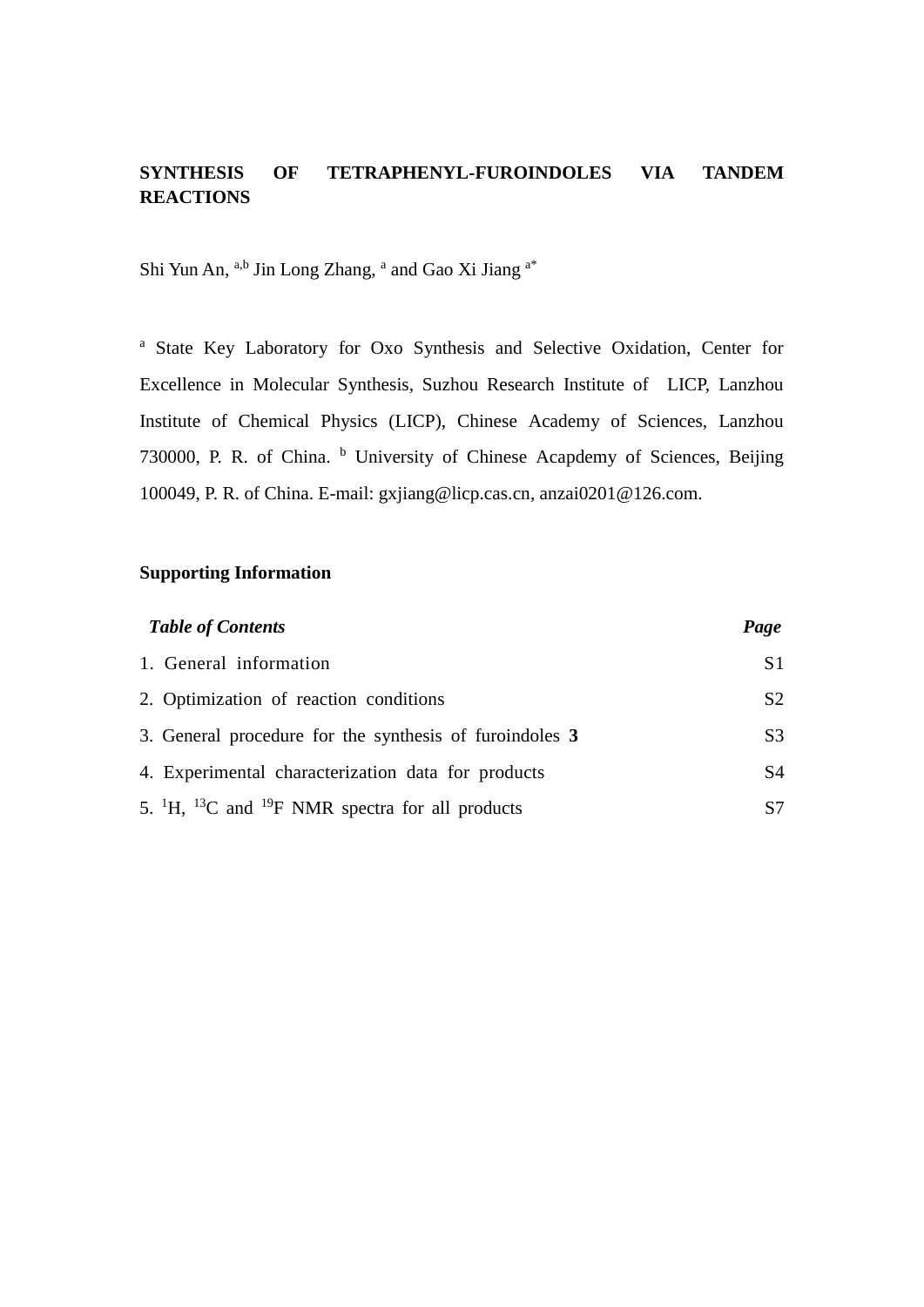# **SYNTHESIS OF TETRAPHENYL-FUROINDOLES VIA TANDEM REACTIONS**

Shi Yun An, a,b Jin Long Zhang, a and Gao Xi Jiang a\*

<sup>a</sup> State Key Laboratory for Oxo Synthesis and Selective Oxidation, Center for Excellence in Molecular Synthesis, Suzhou Research Institute of LICP, Lanzhou Institute of Chemical Physics (LICP), Chinese Academy of Sciences, Lanzhou 730000, P. R. of China. <sup>b</sup> University of Chinese Acapdemy of Sciences, Beijing 100049, P. R. of China. E-mail: gxjiang@licp.cas.cn, anzai0201@126.com.

## **Supporting Information**

| <b>Table of Contents</b>                                                            | Page           |
|-------------------------------------------------------------------------------------|----------------|
| 1. General information                                                              | S1             |
| 2. Optimization of reaction conditions                                              | S <sub>2</sub> |
| 3. General procedure for the synthesis of furoindoles 3                             | S <sub>3</sub> |
| 4. Experimental characterization data for products                                  | S4             |
| 5. <sup>1</sup> H, <sup>13</sup> C and <sup>19</sup> F NMR spectra for all products | S7             |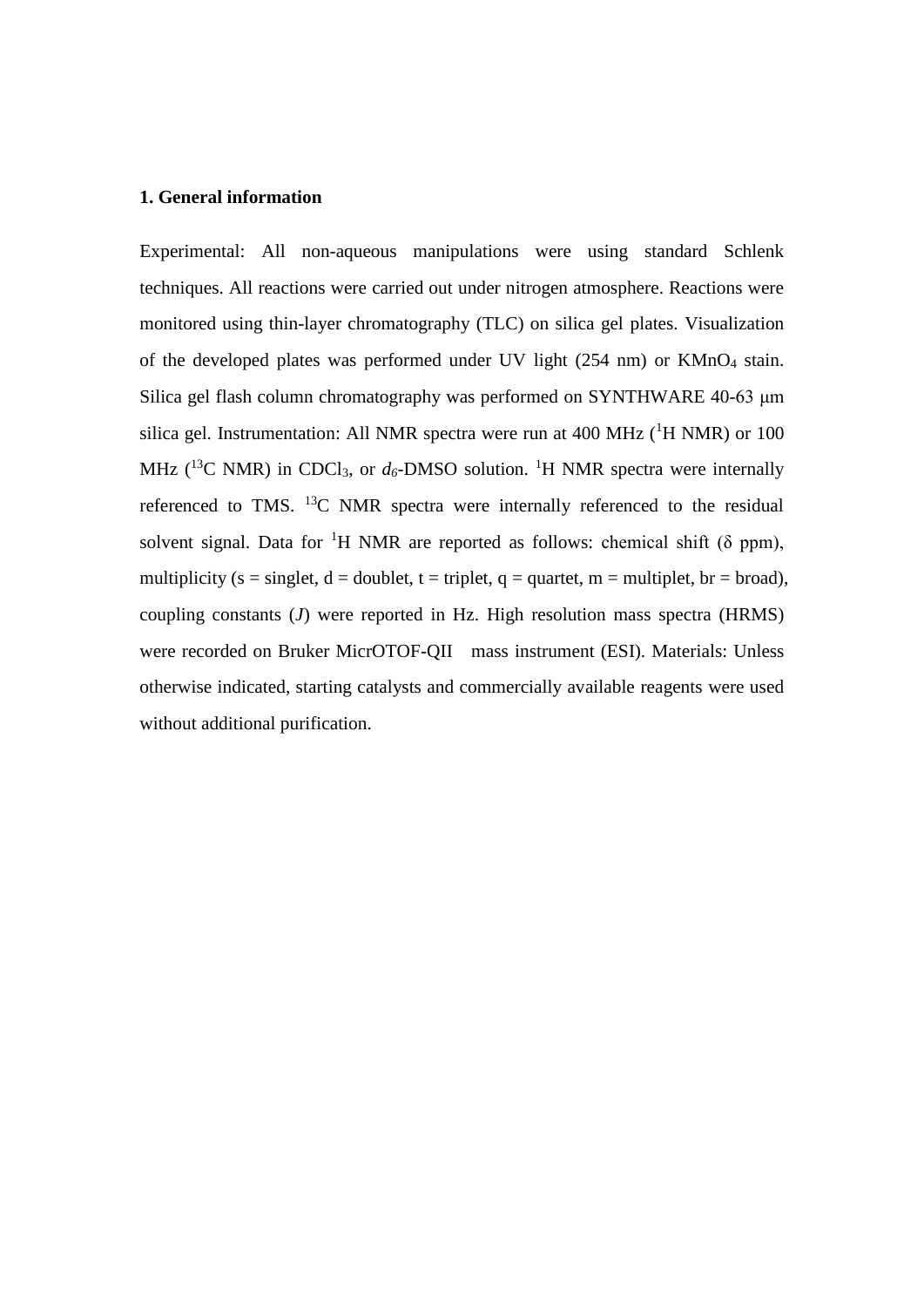### **1. General information**

Experimental: All non-aqueous manipulations were using standard Schlenk techniques. All reactions were carried out under nitrogen atmosphere. Reactions were monitored using thin-layer chromatography (TLC) on silica gel plates. Visualization of the developed plates was performed under UV light (254 nm) or KMnO<sup>4</sup> stain. Silica gel flash column chromatography was performed on SYNTHWARE 40-63 μm silica gel. Instrumentation: All NMR spectra were run at  $400$  MHz ( $^{1}$ H NMR) or  $100$ MHz (<sup>13</sup>C NMR) in CDCl<sub>3</sub>, or  $d_6$ -DMSO solution. <sup>1</sup>H NMR spectra were internally referenced to TMS. <sup>13</sup>C NMR spectra were internally referenced to the residual solvent signal. Data for <sup>1</sup>H NMR are reported as follows: chemical shift ( $\delta$  ppm), multiplicity (s = singlet, d = doublet, t = triplet, q = quartet, m = multiplet, br = broad), coupling constants (*J*) were reported in Hz. High resolution mass spectra (HRMS) were recorded on Bruker MicrOTOF-QII mass instrument (ESI). Materials: Unless otherwise indicated, starting catalysts and commercially available reagents were used without additional purification.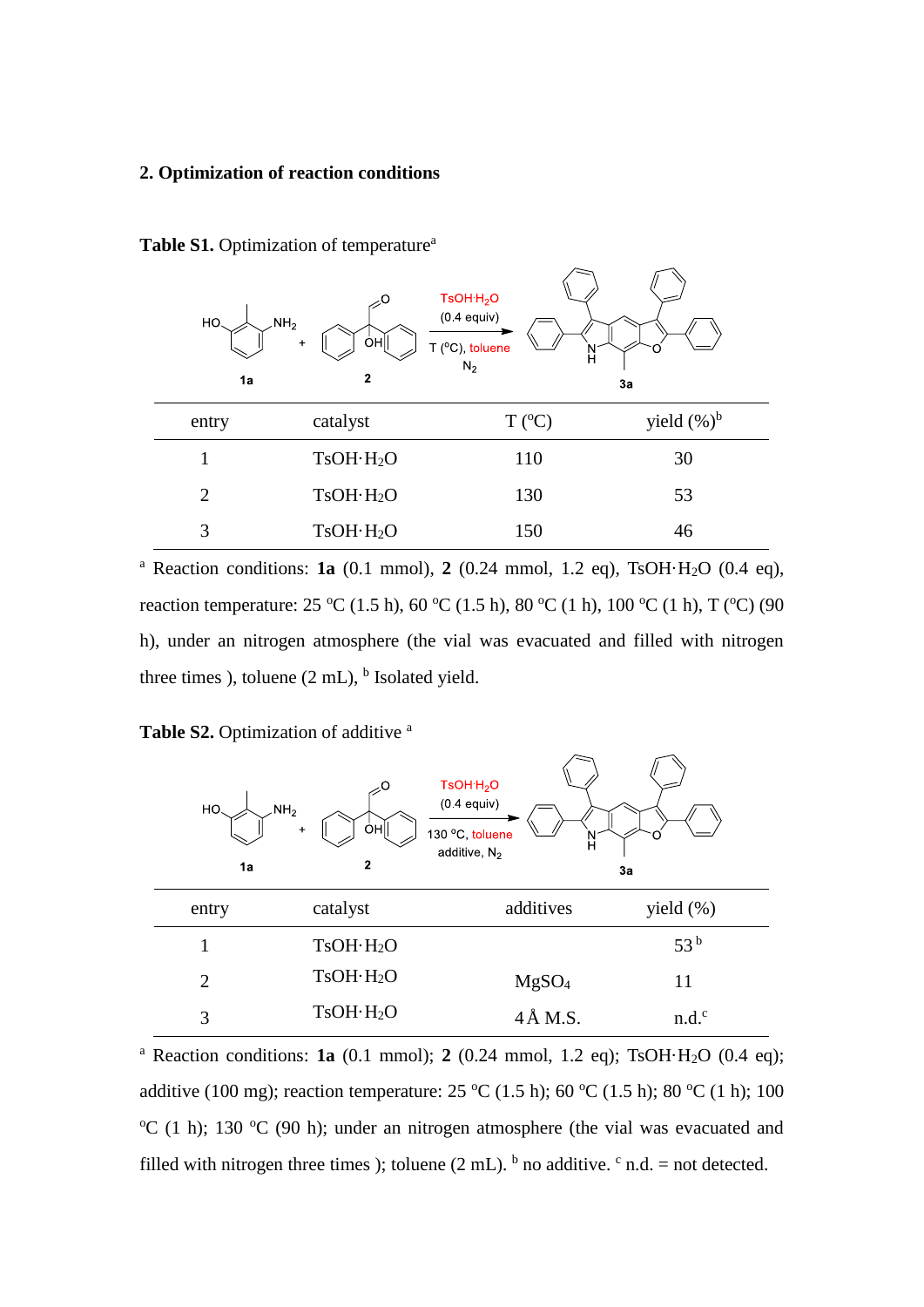### **2. Optimization of reaction conditions**

| HO.<br>1a      | $\sim$<br>NH <sub>2</sub><br>ÒH∥<br>$\ddot{}$<br>$\mathbf{2}$ | TsOH·H <sub>2</sub> O<br>$(0.4$ equiv)<br>T (°C), toluene<br>H<br>N <sub>2</sub> | 3a             |
|----------------|---------------------------------------------------------------|----------------------------------------------------------------------------------|----------------|
| entry          | catalyst                                                      | $T (^{\circ}C)$                                                                  | yield $(\%)^b$ |
| 1              | TsOH·H <sub>2</sub> O                                         | 110                                                                              | 30             |
| $\overline{2}$ | TsOH·H <sub>2</sub> O                                         | 130                                                                              | 53             |
| 3              | TsOH·H <sub>2</sub> O                                         | 150                                                                              | 46             |

Table S1. Optimization of temperature<sup>a</sup>

<sup>a</sup> Reaction conditions: **1a** (0.1 mmol), **2** (0.24 mmol, 1.2 eq), TsOH·H<sub>2</sub>O (0.4 eq), reaction temperature:  $25 \text{ °C}$  (1.5 h),  $60 \text{ °C}$  (1.5 h),  $80 \text{ °C}$  (1 h),  $100 \text{ °C}$  (1 h),  $T$  ( $\text{ °C}$ ) (90 h), under an nitrogen atmosphere (the vial was evacuated and filled with nitrogen three times ), toluene  $(2 \text{ mL})$ ,  $^{b}$  Isolated yield.

| <b>Table S2.</b> Optimization of additive <sup>a</sup> |
|--------------------------------------------------------|
|--------------------------------------------------------|

| HO.<br>1a      | - 20<br>NH <sub>2</sub><br>ÓΗ<br>$\ddot{}$<br>$\mathbf 2$ | TsOH·H <sub>2</sub> O<br>$(0.4$ equiv)<br>130 °C, toluene<br>H<br>additive, $N_2$ | 3a              |
|----------------|-----------------------------------------------------------|-----------------------------------------------------------------------------------|-----------------|
| entry          | catalyst                                                  | additives                                                                         | yield $(\%)$    |
| 1              | TsOH·H <sub>2</sub> O                                     |                                                                                   | 53 <sup>b</sup> |
| $\overline{2}$ | TsOH·H <sub>2</sub> O                                     | MgSO <sub>4</sub>                                                                 | 11              |
| 3              | TsOH·H <sub>2</sub> O                                     | 4Å M.S.                                                                           | $n.d.^c$        |

<sup>a</sup> Reaction conditions: **1a** (0.1 mmol); **2** (0.24 mmol, 1.2 eq); TsOH·H<sub>2</sub>O (0.4 eq); additive (100 mg); reaction temperature:  $25 \text{ °C}$  (1.5 h); 60  $\text{ °C}$  (1.5 h); 80  $\text{ °C}$  (1 h); 100  $\rm{O}^{\circ}C$  (1 h); 130  $\rm{O}^{\circ}C$  (90 h); under an nitrogen atmosphere (the vial was evacuated and filled with nitrogen three times ); toluene  $(2 \text{ mL})$ . <sup>b</sup> no additive. <sup>c</sup> n.d. = not detected.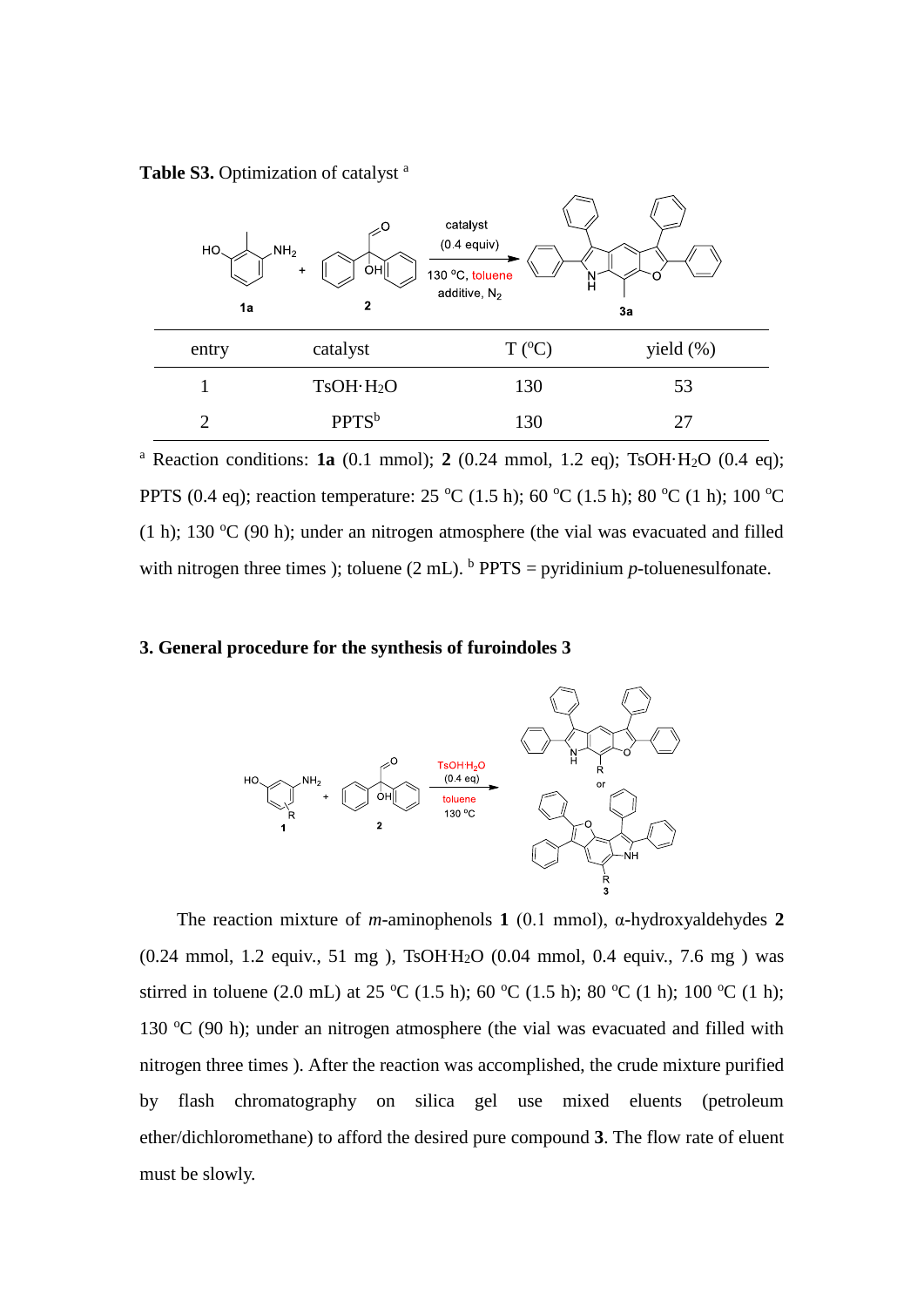Table S3. Optimization of catalyst<sup>a</sup>

| HO.<br>1a      | 0؍<br>NH <sub>2</sub><br>ÔH∥<br>$\ddot{}$<br>2 | catalyst<br>$(0.4$ equiv)<br>130 °C, toluene<br>ĥ<br>additive, $N_2$ | 3a           |
|----------------|------------------------------------------------|----------------------------------------------------------------------|--------------|
| entry          | catalyst                                       | $T (^{\circ}C)$                                                      | yield $(\%)$ |
|                | TsOH·H <sub>2</sub> O                          | 130                                                                  | 53           |
| $\overline{2}$ | PPTS <sup>b</sup>                              | 130                                                                  | 27           |

<sup>a</sup> Reaction conditions: **1a** (0.1 mmol); **2** (0.24 mmol, 1.2 eq); TsOH·H<sub>2</sub>O (0.4 eq); PPTS (0.4 eq); reaction temperature: 25 °C (1.5 h); 60 °C (1.5 h); 80 °C (1 h); 100 °C (1 h); 130  $\rm{°C}$  (90 h); under an nitrogen atmosphere (the vial was evacuated and filled with nitrogen three times ); toluene  $(2 \text{ mL})$ .  $\frac{b}{v}$  PPTS = pyridinium *p*-toluenesulfonate.

#### **3. General procedure for the synthesis of furoindoles 3**



The reaction mixture of *m*-aminophenols **1** (0.1 mmol), α-hydroxyaldehydes **2** (0.24 mmol, 1.2 equiv., 51 mg ), TsOH.H2O (0.04 mmol, 0.4 equiv., 7.6 mg ) was stirred in toluene (2.0 mL) at 25 °C (1.5 h); 60 °C (1.5 h); 80 °C (1 h); 100 °C (1 h); 130  $\degree$ C (90 h); under an nitrogen atmosphere (the vial was evacuated and filled with nitrogen three times ). After the reaction was accomplished, the crude mixture purified by flash chromatography on silica gel use mixed eluents (petroleum ether/dichloromethane) to afford the desired pure compound **3**. The flow rate of eluent must be slowly.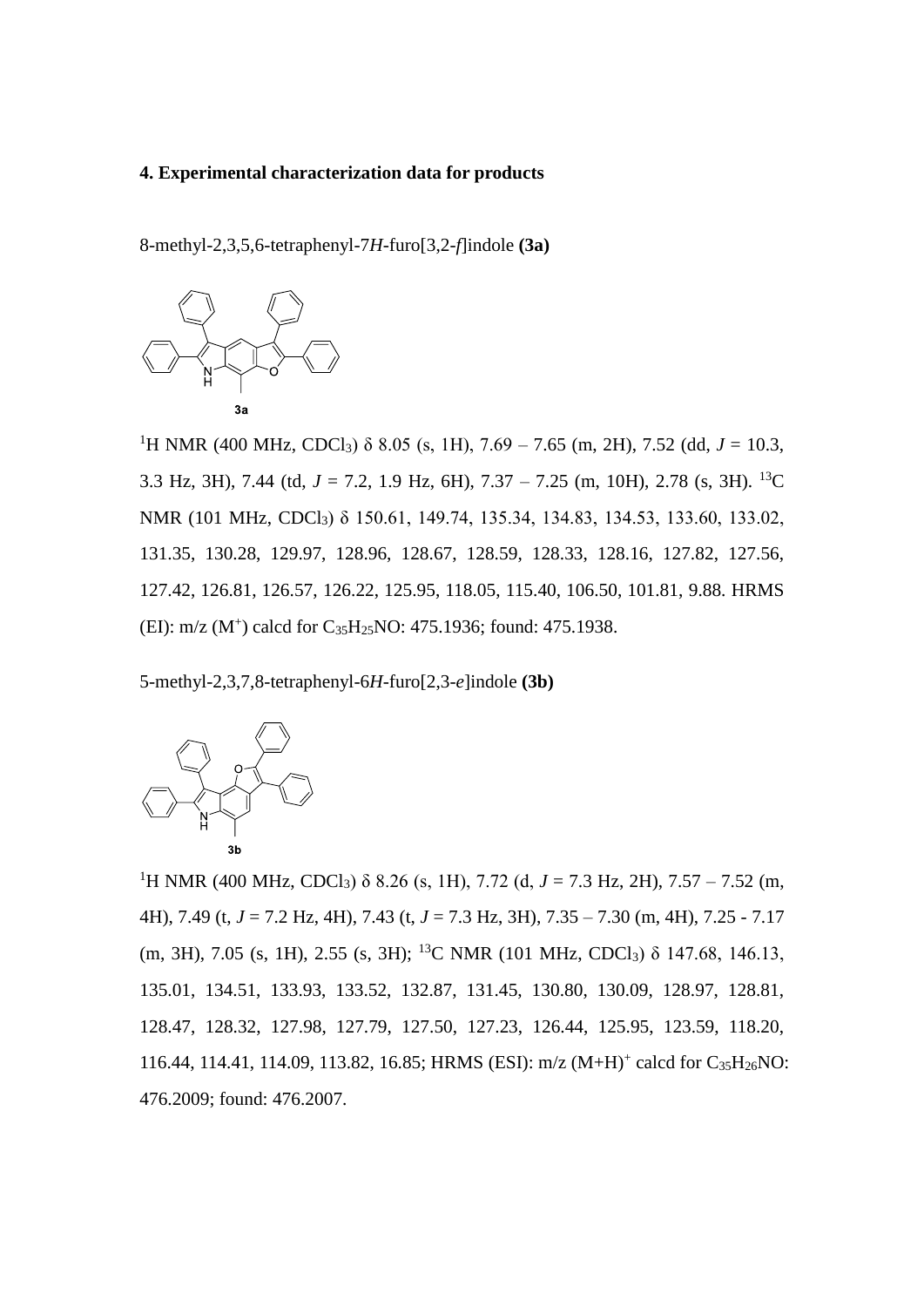#### **4. Experimental characterization data for products**

8-methyl-2,3,5,6-tetraphenyl-7*H*-furo[3,2-*f*]indole **(3a)**



<sup>1</sup>H NMR (400 MHz, CDCl3) δ 8.05 (s, 1H), 7.69 – 7.65 (m, 2H), 7.52 (dd, *J* = 10.3, 3.3 Hz, 3H), 7.44 (td, *J* = 7.2, 1.9 Hz, 6H), 7.37 – 7.25 (m, 10H), 2.78 (s, 3H). <sup>13</sup>C NMR (101 MHz, CDCl3) δ 150.61, 149.74, 135.34, 134.83, 134.53, 133.60, 133.02, 131.35, 130.28, 129.97, 128.96, 128.67, 128.59, 128.33, 128.16, 127.82, 127.56, 127.42, 126.81, 126.57, 126.22, 125.95, 118.05, 115.40, 106.50, 101.81, 9.88. HRMS (EI):  $m/z$  (M<sup>+</sup>) calcd for C<sub>35</sub>H<sub>25</sub>NO: 475.1936; found: 475.1938.

5-methyl-2,3,7,8-tetraphenyl-6*H*-furo[2,3-*e*]indole **(3b)**



<sup>1</sup>H NMR (400 MHz, CDCl<sub>3</sub>)  $\delta$  8.26 (s, 1H), 7.72 (d, J = 7.3 Hz, 2H), 7.57 – 7.52 (m, 4H), 7.49 (t, *J* = 7.2 Hz, 4H), 7.43 (t, *J* = 7.3 Hz, 3H), 7.35 – 7.30 (m, 4H), 7.25 - 7.17 (m, 3H), 7.05 (s, 1H), 2.55 (s, 3H); <sup>13</sup>C NMR (101 MHz, CDCl3) δ 147.68, 146.13, 135.01, 134.51, 133.93, 133.52, 132.87, 131.45, 130.80, 130.09, 128.97, 128.81, 128.47, 128.32, 127.98, 127.79, 127.50, 127.23, 126.44, 125.95, 123.59, 118.20, 116.44, 114.41, 114.09, 113.82, 16.85; HRMS (ESI): m/z (M+H)<sup>+</sup> calcd for C35H26NO: 476.2009; found: 476.2007.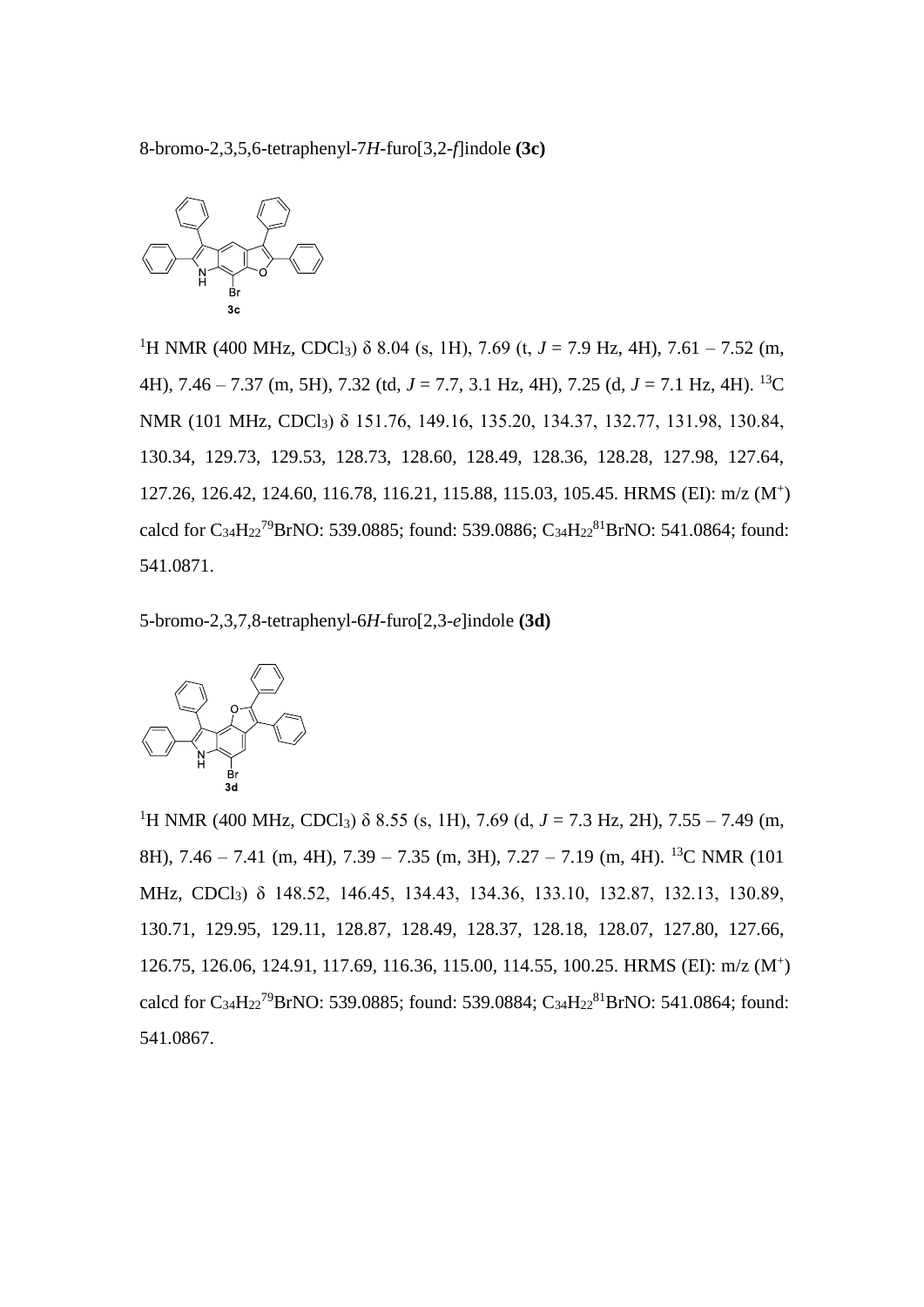8-bromo-2,3,5,6-tetraphenyl-7*H*-furo[3,2-*f*]indole **(3c)**



<sup>1</sup>H NMR (400 MHz, CDCl<sub>3</sub>)  $\delta$  8.04 (s, 1H), 7.69 (t, *J* = 7.9 Hz, 4H), 7.61 – 7.52 (m, 4H), 7.46 – 7.37 (m, 5H), 7.32 (td, *J* = 7.7, 3.1 Hz, 4H), 7.25 (d, *J* = 7.1 Hz, 4H). <sup>13</sup>C NMR (101 MHz, CDCl<sub>3</sub>) δ 151.76, 149.16, 135.20, 134.37, 132.77, 131.98, 130.84, 130.34, 129.73, 129.53, 128.73, 128.60, 128.49, 128.36, 128.28, 127.98, 127.64, 127.26, 126.42, 124.60, 116.78, 116.21, 115.88, 115.03, 105.45. HRMS (EI): m/z (M<sup>+</sup> ) calcd for  $C_{34}H_{22}^{79}BrNO: 539.0885$ ; found: 539.0886;  $C_{34}H_{22}^{81}BrNO: 541.0864$ ; found: 541.0871.

5-bromo-2,3,7,8-tetraphenyl-6*H*-furo[2,3-*e*]indole **(3d)**



<sup>1</sup>H NMR (400 MHz, CDCl<sub>3</sub>)  $\delta$  8.55 (s, 1H), 7.69 (d, J = 7.3 Hz, 2H), 7.55 – 7.49 (m, 8H), 7.46 – 7.41 (m, 4H), 7.39 – 7.35 (m, 3H), 7.27 – 7.19 (m, 4H). <sup>13</sup>C NMR (101 MHz, CDCl<sub>3</sub>) δ 148.52, 146.45, 134.43, 134.36, 133.10, 132.87, 132.13, 130.89, 130.71, 129.95, 129.11, 128.87, 128.49, 128.37, 128.18, 128.07, 127.80, 127.66, 126.75, 126.06, 124.91, 117.69, 116.36, 115.00, 114.55, 100.25. HRMS (EI): m/z (M<sup>+</sup> ) calcd for  $C_{34}H_{22}^{79}BrNO: 539.0885$ ; found: 539.0884;  $C_{34}H_{22}^{81}BrNO: 541.0864$ ; found: 541.0867.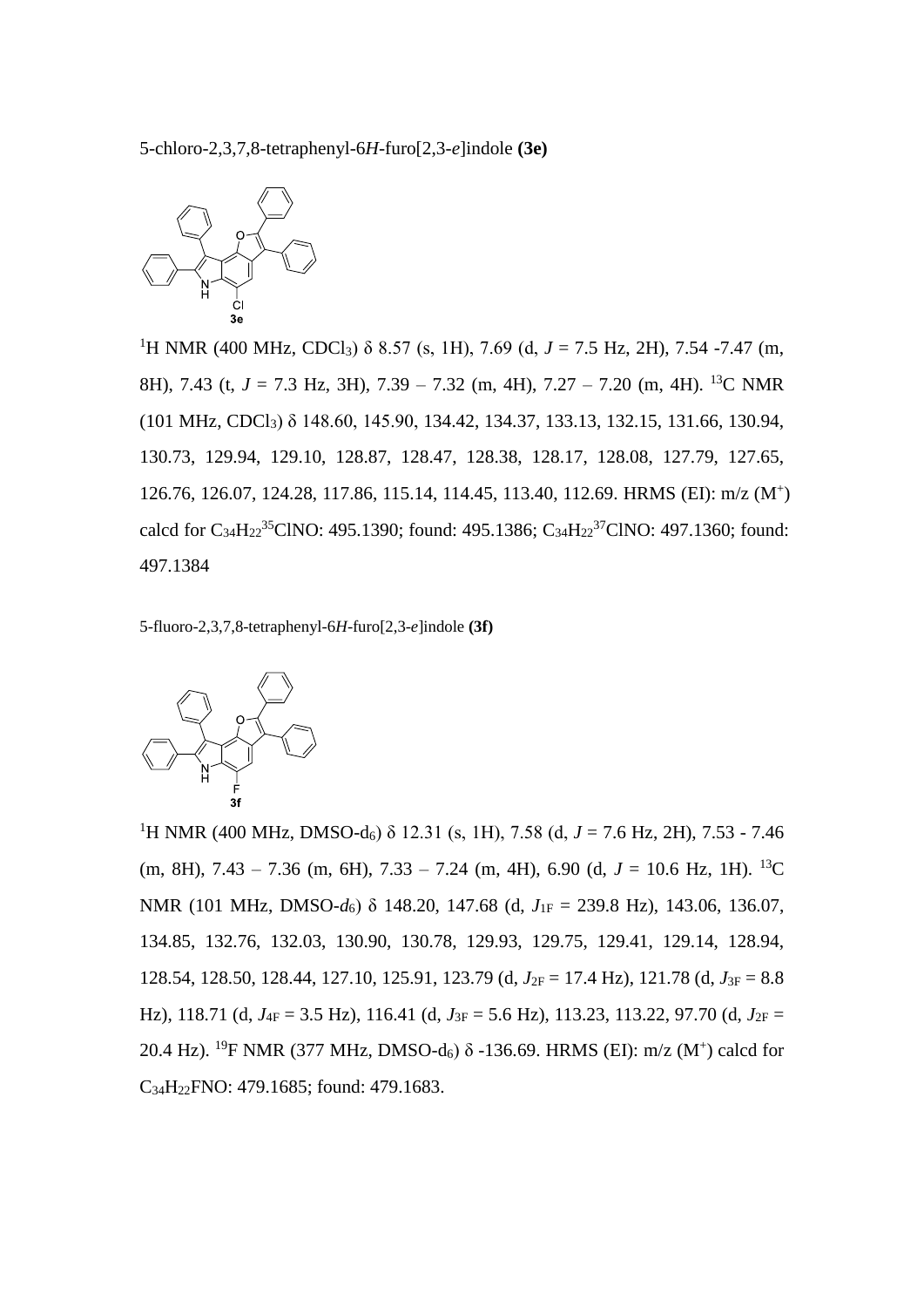5-chloro-2,3,7,8-tetraphenyl-6*H*-furo[2,3-*e*]indole **(3e)**



<sup>1</sup>H NMR (400 MHz, CDCl<sub>3</sub>)  $\delta$  8.57 (s, 1H), 7.69 (d, J = 7.5 Hz, 2H), 7.54 -7.47 (m, 8H), 7.43 (t, *J* = 7.3 Hz, 3H), 7.39 – 7.32 (m, 4H), 7.27 – 7.20 (m, 4H). <sup>13</sup>C NMR (101 MHz, CDCl3) δ 148.60, 145.90, 134.42, 134.37, 133.13, 132.15, 131.66, 130.94, 130.73, 129.94, 129.10, 128.87, 128.47, 128.38, 128.17, 128.08, 127.79, 127.65, 126.76, 126.07, 124.28, 117.86, 115.14, 114.45, 113.40, 112.69. HRMS (EI): m/z (M<sup>+</sup> ) calcd for C<sub>34</sub>H<sub>22</sub><sup>35</sup>ClNO: 495.1390; found: 495.1386; C<sub>34</sub>H<sub>22</sub><sup>37</sup>ClNO: 497.1360; found: 497.1384

5-fluoro-2,3,7,8-tetraphenyl-6*H*-furo[2,3-*e*]indole **(3f)**



<sup>1</sup>H NMR (400 MHz, DMSO-d<sub>6</sub>)  $\delta$  12.31 (s, 1H), 7.58 (d, *J* = 7.6 Hz, 2H), 7.53 - 7.46 (m, 8H), 7.43 – 7.36 (m, 6H), 7.33 – 7.24 (m, 4H), 6.90 (d, *J* = 10.6 Hz, 1H). <sup>13</sup>C NMR (101 MHz, DMSO-*d*<sub>6</sub>) δ 148.20, 147.68 (d, *J*<sub>1F</sub> = 239.8 Hz), 143.06, 136.07, 134.85, 132.76, 132.03, 130.90, 130.78, 129.93, 129.75, 129.41, 129.14, 128.94, 128.54, 128.50, 128.44, 127.10, 125.91, 123.79 (d, *J*2F = 17.4 Hz), 121.78 (d, *J*3F = 8.8 Hz), 118.71 (d,  $J_{4F} = 3.5$  Hz), 116.41 (d,  $J_{3F} = 5.6$  Hz), 113.23, 113.22, 97.70 (d,  $J_{2F} =$ 20.4 Hz). <sup>19</sup>F NMR (377 MHz, DMSO-d<sub>6</sub>) δ -136.69. HRMS (EI): m/z (M<sup>+</sup>) calcd for C34H22FNO: 479.1685; found: 479.1683.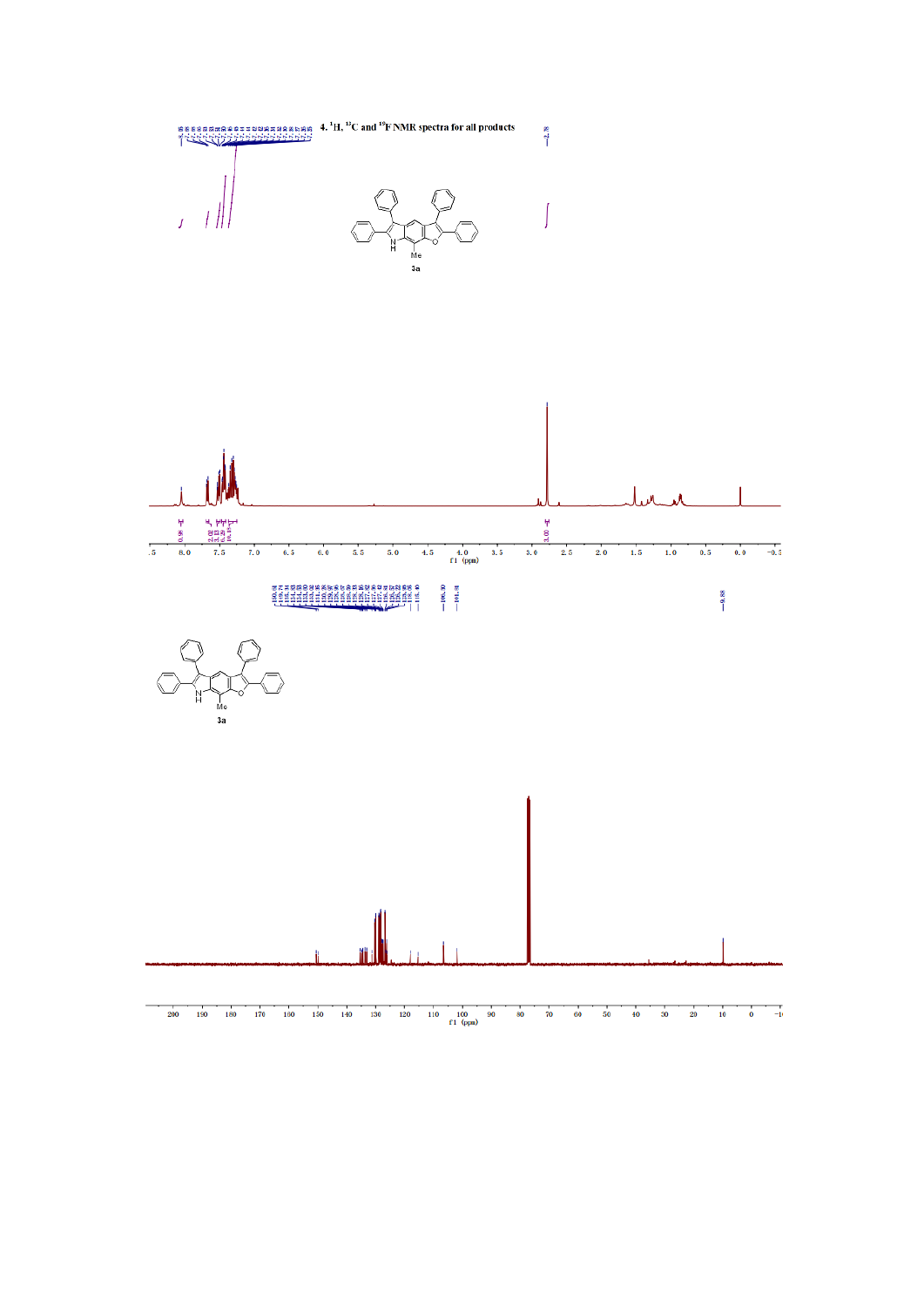



 $\frac{1}{200} \quad \ \ \, 190 \quad \ \ \, 180 \quad \ \ \, 170 \quad \ \ \, 160 \quad \ \ \, 150 \quad \ \ \, 140 \quad \ \ \, 130 \quad \ \ \, 120 \quad \ \ 110 \quad \ \ \, 100 \quad \ \ \, 90 \quad \quad \ 80 \quad \quad \, 70 \quad \ \ \, 60 \quad \ \ \, 50 \quad \ \, 40$ 

 $20 \t 10 \t 0 \t -1$ 

 $\frac{1}{30}$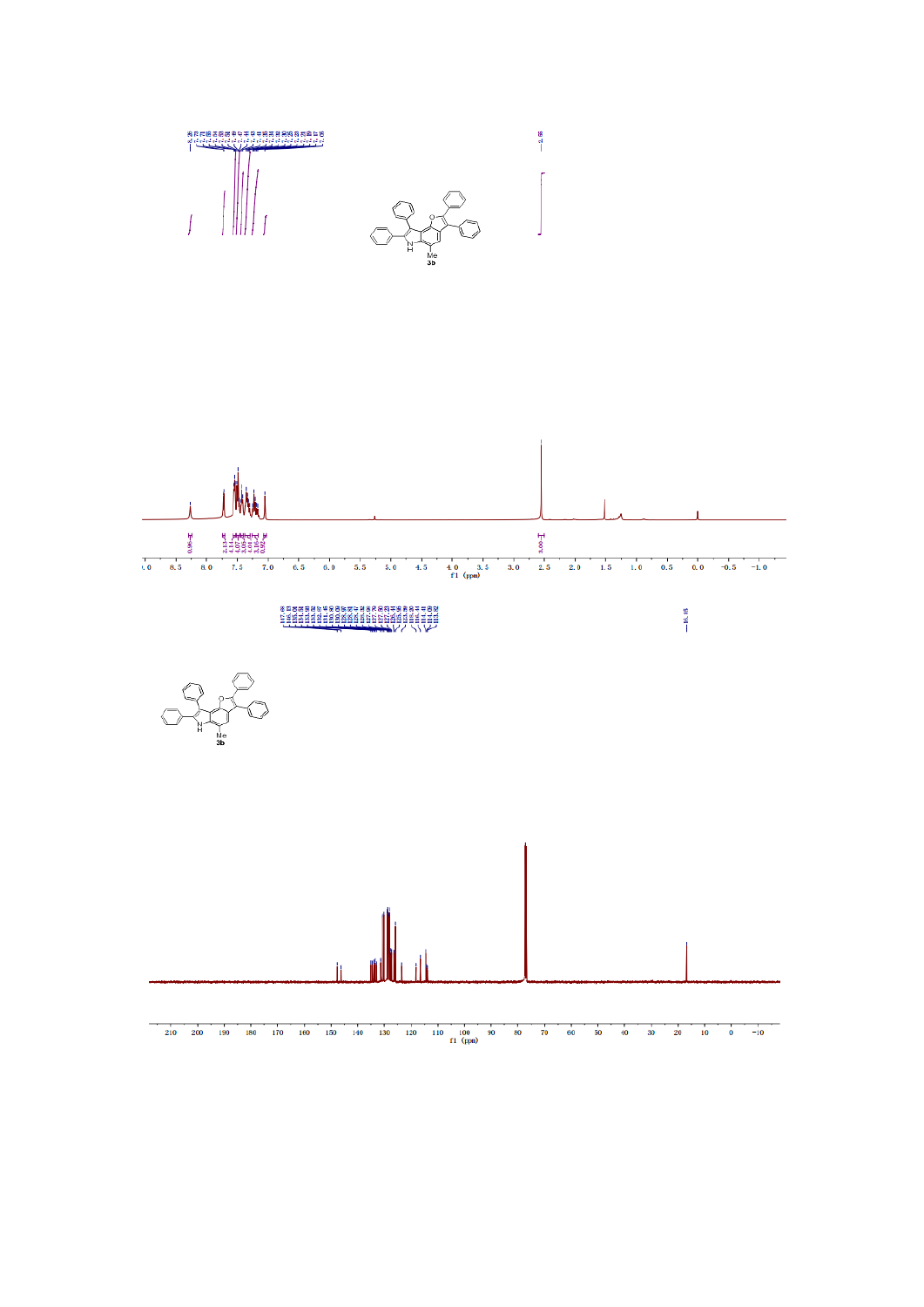

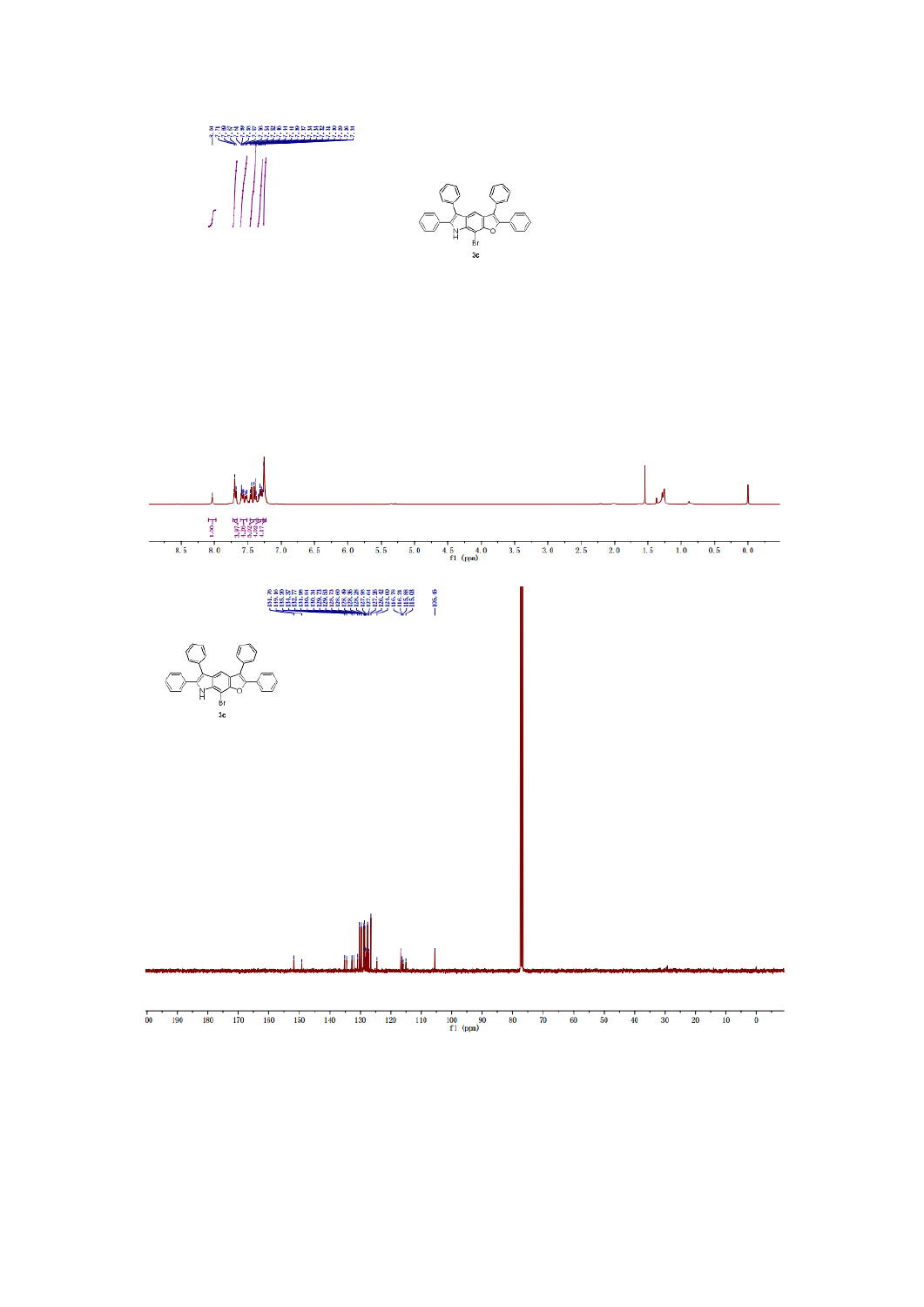

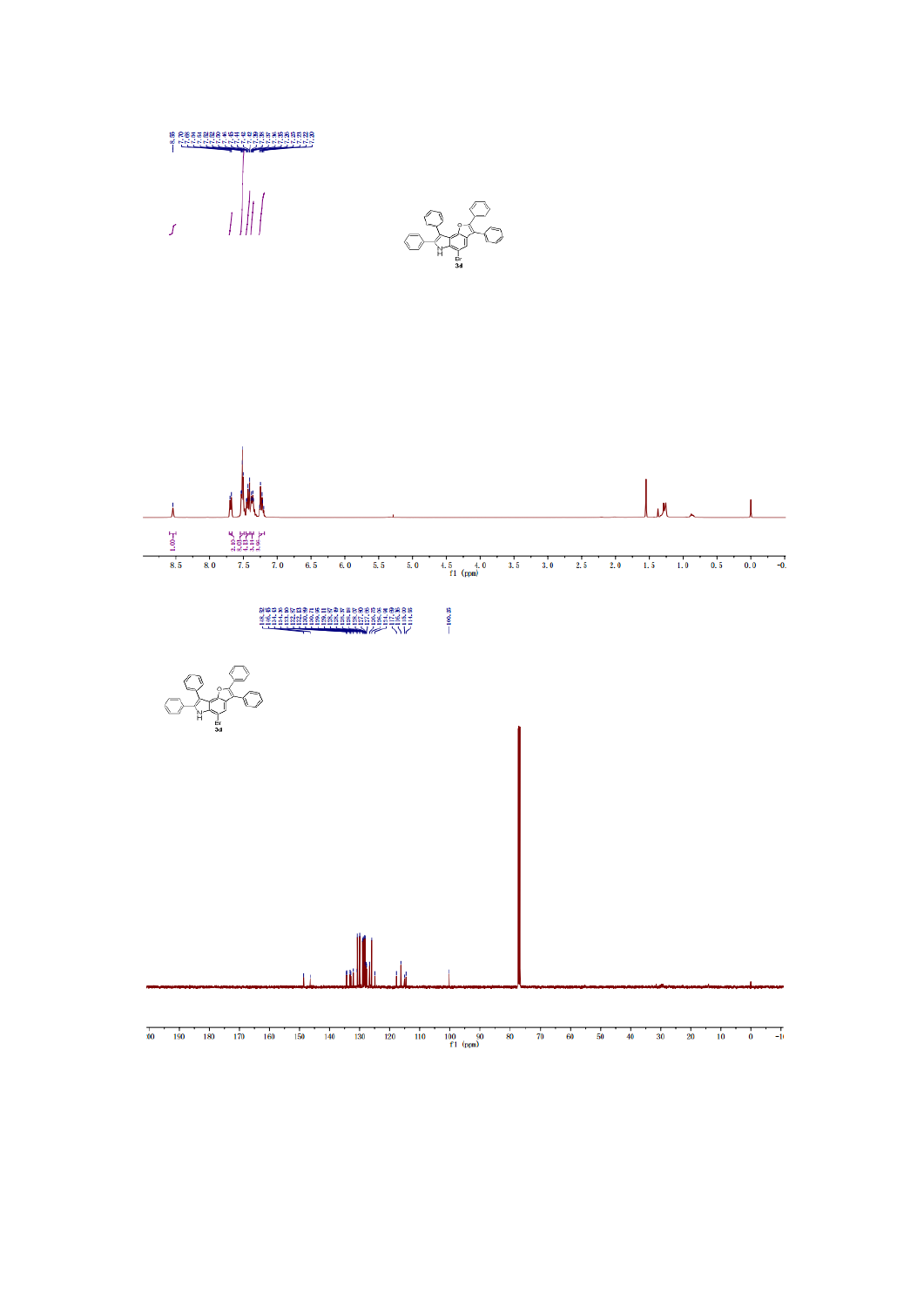

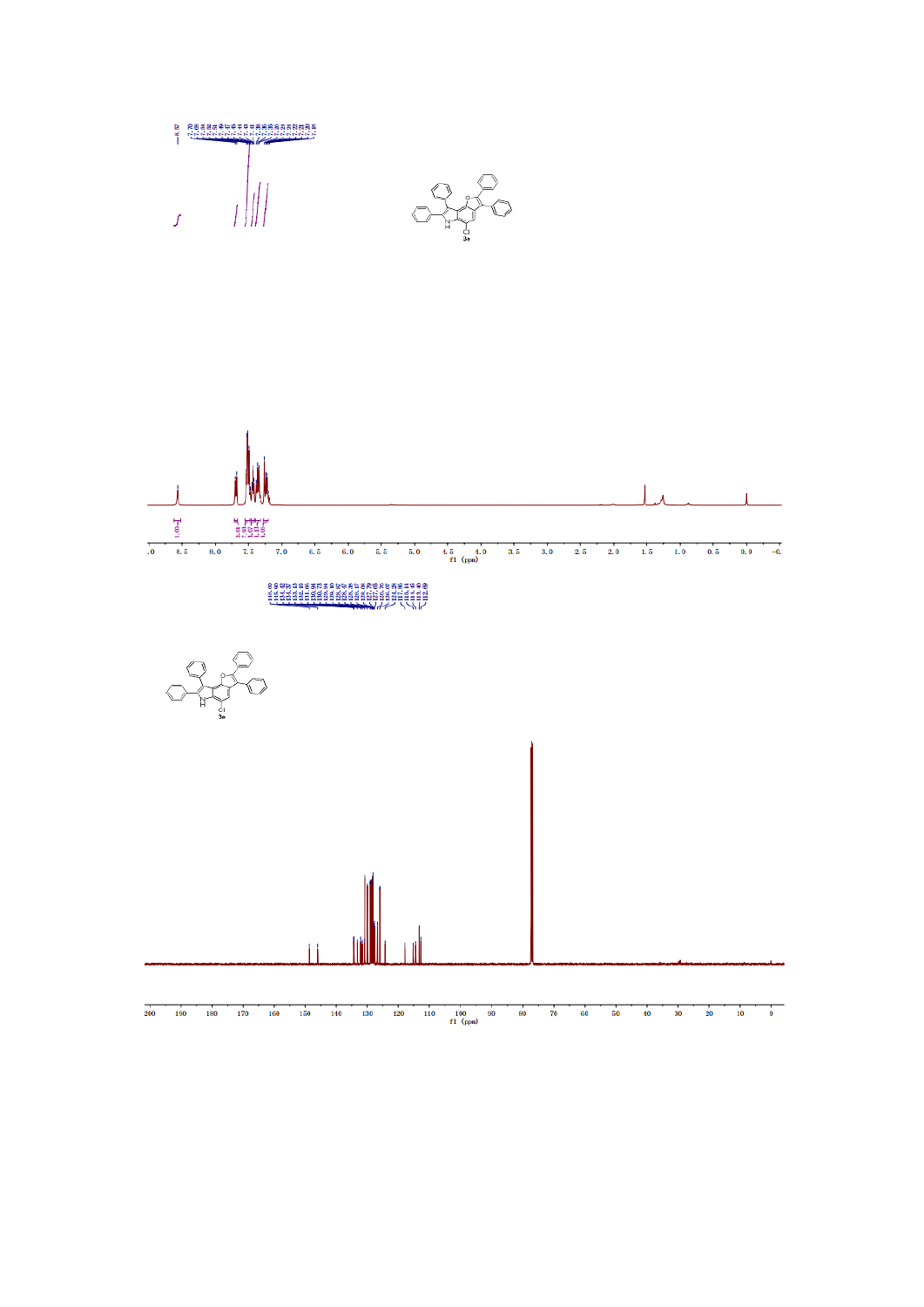



 $\frac{1}{200} \quad \frac{1}{190} \quad \frac{1}{180} \quad \frac{1}{170} \quad \frac{1}{160} \quad \frac{1}{150} \quad \frac{1}{140} \quad \frac{1}{130} \quad \frac{1}{120} \quad \frac{1}{100} \quad \frac{1}{100} \quad \frac{1}{90} \quad \frac{1}{90} \quad \frac{1}{80} \quad \frac{1}{70} \quad \frac{1}{60} \quad \frac{1}{50} \quad \frac{1}{40} \quad \frac{1}{30} \quad \frac{1}{20} \quad \frac{1}{10} \$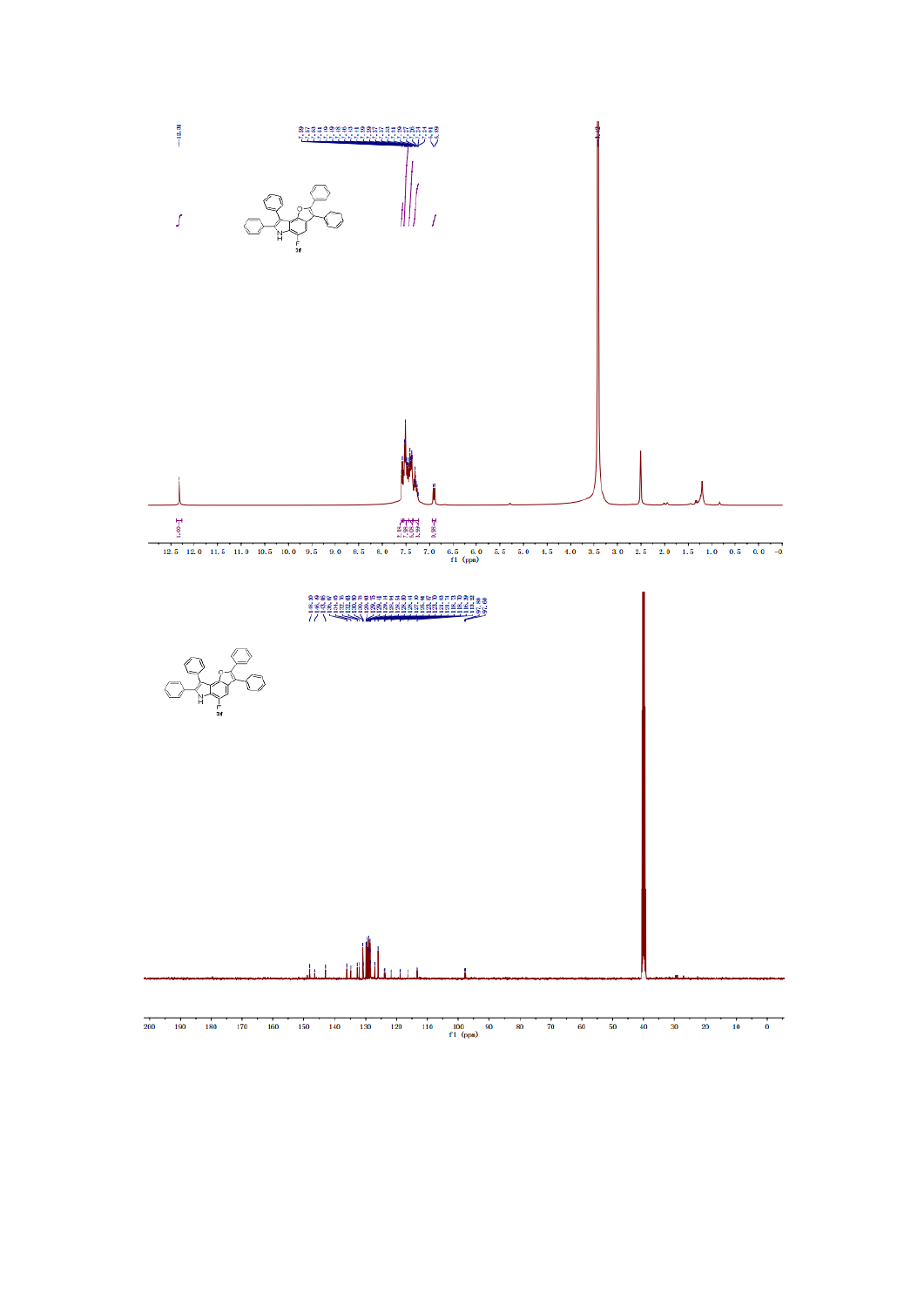